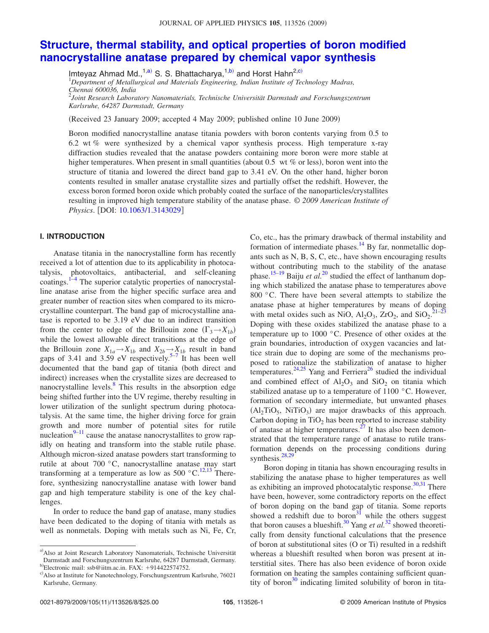# **Structure, thermal stability, and optical properties of boron modified nanocrystalline anatase prepared by chemical vapor synthesis**

Imteyaz Ahmad Md.,<sup>1,a)</sup> S. S. Bhattacharya,<sup>1,b)</sup> and Horst Hahn<sup>2,c)</sup>

<sup>1</sup>*Department of Metallurgical and Materials Engineering, Indian Institute of Technology Madras, Chennai 600036, India*

2 *Joint Research Laboratory Nanomaterials, Technische Universität Darmstadt and Forschungszentrum Karlsruhe, 64287 Darmstadt, Germany*

(Received 23 January 2009; accepted 4 May 2009; published online 10 June 2009)

Boron modified nanocrystalline anatase titania powders with boron contents varying from 0.5 to 6.2 wt *%* were synthesized by a chemical vapor synthesis process. High temperature x-ray diffraction studies revealed that the anatase powders containing more boron were more stable at higher temperatures. When present in small quantities (about 0.5 wt % or less), boron went into the structure of titania and lowered the direct band gap to 3.41 eV. On the other hand, higher boron contents resulted in smaller anatase crystallite sizes and partially offset the redshift. However, the excess boron formed boron oxide which probably coated the surface of the nanoparticles/crystallites resulting in improved high temperature stability of the anatase phase. © *2009 American Institute of Physics*. [DOI: 10.1063/1.3143029]

## **I. INTRODUCTION**

Anatase titania in the nanocrystalline form has recently received a lot of attention due to its applicability in photocatalysis, photovoltaics, antibacterial, and self-cleaning coatings.<sup>1-4</sup> The superior catalytic properties of nanocrystalline anatase arise from the higher specific surface area and greater number of reaction sites when compared to its microcrystalline counterpart. The band gap of microcystalline anatase is reported to be 3.19 eV due to an indirect transition from the center to edge of the Brillouin zone  $(\Gamma_3 \rightarrow X_{1b})$ while the lowest allowable direct transitions at the edge of the Brillouin zone  $X_{1a} \rightarrow X_{1b}$  and  $X_{2b} \rightarrow X_{1b}$  result in band gaps of 3.41 and 3.59 eV respectively.<sup>5–7</sup> It has been well documented that the band gap of titania (both direct and indirect) increases when the crystallite sizes are decreased to nanocrystalline levels.<sup>8</sup> This results in the absorption edge being shifted further into the UV regime, thereby resulting in lower utilization of the sunlight spectrum during photocatalysis. At the same time, the higher driving force for grain growth and more number of potential sites for rutile nucleation $9-11$  cause the anatase nanocrystallites to grow rapidly on heating and transform into the stable rutile phase. Although micron-sized anatase powders start transforming to rutile at about 700 °C, nanocrystalline anatase may start transforming at a temperature as low as  $500^{\circ}$ C.<sup>12,13</sup> Therefore, synthesizing nanocrystalline anatase with lower band gap and high temperature stability is one of the key challenges.

In order to reduce the band gap of anatase, many studies have been dedicated to the doping of titania with metals as well as nonmetals. Doping with metals such as Ni, Fe, Cr,

a) Also at Joint Research Laboratory Nanomaterials, Technische Universität Darmstadt and Forschungszentrum Karlsruhe, 64287 Darmstadt, Germany. b)Electronic mail:  $ssb@$ iitm.ac.in. FAX: +914422574752.

Co, etc., has the primary drawback of thermal instability and formation of intermediate phases.<sup>14</sup> By far, nonmetallic dopants such as N, B, S, C, etc., have shown encouraging results without contributing much to the stability of the anatase phase.<sup>15–19</sup> Baiju *et al.*<sup>20</sup> studied the effect of lanthanum doping which stabilized the anatase phase to temperatures above 800 °C. There have been several attempts to stabilize the anatase phase at higher temperatures by means of doping with metal oxides such as NiO,  $Al_2O_3$ , ZrO<sub>2</sub>, and SiO<sub>2</sub>.<sup>21–23</sup> Doping with these oxides stabilized the anatase phase to a temperature up to 1000 °C. Presence of other oxides at the grain boundaries, introduction of oxygen vacancies and lattice strain due to doping are some of the mechanisms proposed to rationalize the stabilization of anatase to higher temperatures.<sup>24,25</sup> Yang and Ferriera<sup>26</sup> studied the individual and combined effect of  $Al_2O_3$  and  $SiO_2$  on titania which stabilized anatase up to a temperature of 1100 °C. However, formation of secondary intermediate, but unwanted phases  $(Al<sub>2</sub>TiO<sub>5</sub>, NiTiO<sub>3</sub>)$  are major drawbacks of this approach. Carbon doping in  $TiO<sub>2</sub>$  has been reported to increase stability of anatase at higher temperatures.<sup>27</sup> It has also been demonstrated that the temperature range of anatase to rutile transformation depends on the processing conditions during synthesis. $28,29$ 

Boron doping in titania has shown encouraging results in stabilizing the anatase phase to higher temperatures as well as exhibiting an improved photocatalytic response. $30,31$  There have been, however, some contradictory reports on the effect of boron doping on the band gap of titania. Some reports showed a redshift due to boron<sup>31</sup> while the others suggest that boron causes a blueshift.<sup>30</sup> Yang *et al.*<sup>32</sup> showed theoretically from density functional calculations that the presence of boron at substitutional sites (O or Ti) resulted in a redshift whereas a blueshift resulted when boron was present at interstitial sites. There has also been evidence of boron oxide formation on heating the samples containing sufficient quantity of boron<sup>30</sup> indicating limited solubility of boron in tita-

c) Also at Institute for Nanotechnology, Forschungszentrum Karlsruhe, 76021 Karlsruhe, Germany.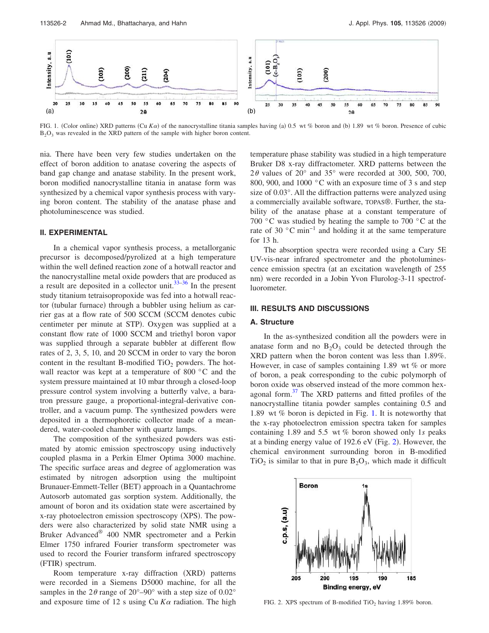

FIG. 1. (Color online) XRD patterns (Cu Ka) of the nanocrystalline titania samples having (a) 0.5 wt % boron and (b) 1.89 wt % boron. Presence of cubic B<sub>2</sub>O<sub>3</sub> was revealed in the XRD pattern of the sample with higher boron content.

nia. There have been very few studies undertaken on the effect of boron addition to anatase covering the aspects of band gap change and anatase stability. In the present work, boron modified nanocrystalline titania in anatase form was synthesized by a chemical vapor synthesis process with varying boron content. The stability of the anatase phase and photoluminescence was studied.

## **II. EXPERIMENTAL**

In a chemical vapor synthesis process, a metallorganic precursor is decomposed/pyrolized at a high temperature within the well defined reaction zone of a hotwall reactor and the nanocrystalline metal oxide powders that are produced as a result are deposited in a collector unit.  $33-36$  In the present study titanium tetraisopropoxide was fed into a hotwall reactor (tubular furnace) through a bubbler using helium as carrier gas at a flow rate of 500 SCCM (SCCM denotes cubic centimeter per minute at STP). Oxygen was supplied at a constant flow rate of 1000 SCCM and triethyl boron vapor was supplied through a separate bubbler at different flow rates of 2, 3, 5, 10, and 20 SCCM in order to vary the boron content in the resultant B-modified  $TiO<sub>2</sub>$  powders. The hotwall reactor was kept at a temperature of 800 °C and the system pressure maintained at 10 mbar through a closed-loop pressure control system involving a butterfly valve, a baratron pressure gauge, a proportional-integral-derivative controller, and a vacuum pump. The synthesized powders were deposited in a thermophoretic collector made of a meandered, water-cooled chamber with quartz lamps.

The composition of the synthesized powders was estimated by atomic emission spectroscopy using inductively coupled plasma in a Perkin Elmer Optima 3000 machine. The specific surface areas and degree of agglomeration was estimated by nitrogen adsorption using the multipoint Brunauer-Emmett-Teller (BET) approach in a Quantachrome Autosorb automated gas sorption system. Additionally, the amount of boron and its oxidation state were ascertained by x-ray photoelectron emission spectroscopy (XPS). The powders were also characterized by solid state NMR using a Bruker Advanced® 400 NMR spectrometer and a Perkin Elmer 1750 infrared Fourier transform spectrometer was used to record the Fourier transform infrared spectroscopy (FTIR) spectrum.

Room temperature x-ray diffraction (XRD) patterns were recorded in a Siemens D5000 machine, for all the samples in the  $2\theta$  range of  $20^{\circ}$ –90° with a step size of 0.02° and exposure time of 12 s using Cu  $K\alpha$  radiation. The high temperature phase stability was studied in a high temperature Bruker D8 x-ray diffractometer. XRD patterns between the  $2\theta$  values of  $20^{\circ}$  and  $35^{\circ}$  were recorded at 300, 500, 700, 800, 900, and 1000 °C with an exposure time of 3 s and step size of 0.03°. All the diffraction patterns were analyzed using a commercially available software, TOPAS®. Further, the stability of the anatase phase at a constant temperature of 700 °C was studied by heating the sample to 700 °C at the rate of 30 °C min−1 and holding it at the same temperature for 13 h.

The absorption spectra were recorded using a Cary 5E UV-vis-near infrared spectrometer and the photoluminescence emission spectra (at an excitation wavelength of 255 nm) were recorded in a Jobin Yvon Flurolog-3-11 spectrofluorometer.

#### **III. RESULTS AND DISCUSSIONS**

#### **A. Structure**

In the as-synthesized condition all the powders were in anatase form and no  $B_2O_3$  could be detected through the XRD pattern when the boron content was less than 1.89%. However, in case of samples containing 1.89 wt *%* or more of boron, a peak corresponding to the cubic polymorph of boron oxide was observed instead of the more common hexagonal form.<sup>37</sup> The XRD patterns and fitted profiles of the nanocrystalline titania powder samples containing 0.5 and 1.89 wt *%* boron is depicted in Fig. 1. It is noteworthy that the x-ray photoelectron emission spectra taken for samples containing 1.89 and 5.5 wt *%* boron showed only 1*s* peaks at a binding energy value of  $192.6$  eV (Fig. 2). However, the chemical environment surrounding boron in B-modified  $TiO<sub>2</sub>$  is similar to that in pure  $B<sub>2</sub>O<sub>3</sub>$ , which made it difficult



FIG. 2. XPS spectrum of B-modified TiO<sub>2</sub> having  $1.89\%$  boron.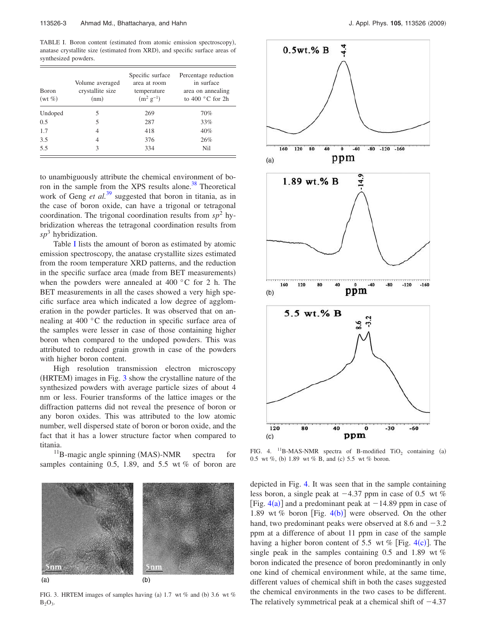TABLE I. Boron content (estimated from atomic emission spectroscopy), anatase crystallite size (estimated from XRD), and specific surface areas of synthesized powders.

| <b>B</b> oron<br>$(wt \%)$ | Volume averaged<br>crystallite size<br>(nm) | Specific surface<br>area at room<br>temperature<br>$(m^2 g^{-1})$ | Percentage reduction<br>in surface<br>area on annealing<br>to 400 $^{\circ}$ C for 2h |
|----------------------------|---------------------------------------------|-------------------------------------------------------------------|---------------------------------------------------------------------------------------|
| Undoped                    | 5                                           | 269                                                               | 70%                                                                                   |
| 0.5                        | 5                                           | 287                                                               | 33%                                                                                   |
| 1.7                        | 4                                           | 418                                                               | 40%                                                                                   |
| 3.5                        | 4                                           | 376                                                               | 26%                                                                                   |
| 5.5                        | 3                                           | 334                                                               | Nil                                                                                   |

to unambiguously attribute the chemical environment of boron in the sample from the XPS results alone.<sup>38</sup> Theoretical work of Geng *et al.*<sup>39</sup> suggested that boron in titania, as in the case of boron oxide, can have a trigonal or tetragonal coordination. The trigonal coordination results from  $sp<sup>2</sup>$  hybridization whereas the tetragonal coordination results from *sp*<sup>3</sup> hybridization.

Table I lists the amount of boron as estimated by atomic emission spectroscopy, the anatase crystallite sizes estimated from the room temperature XRD patterns, and the reduction in the specific surface area (made from BET measurements) when the powders were annealed at 400 °C for 2 h. The BET measurements in all the cases showed a very high specific surface area which indicated a low degree of agglomeration in the powder particles. It was observed that on annealing at 400 °C the reduction in specific surface area of the samples were lesser in case of those containing higher boron when compared to the undoped powders. This was attributed to reduced grain growth in case of the powders with higher boron content.

High resolution transmission electron microscopy  $(HRTEM)$  images in Fig.  $3$  show the crystalline nature of the synthesized powders with average particle sizes of about 4 nm or less. Fourier transforms of the lattice images or the diffraction patterns did not reveal the presence of boron or any boron oxides. This was attributed to the low atomic number, well dispersed state of boron or boron oxide, and the fact that it has a lower structure factor when compared to titania.

 $11$ B-magic angle spinning (MAS)-NMR spectra for samples containing 0.5, 1.89, and 5.5 wt *%* of boron are



 $(a)$ 

FIG. 3. HRTEM images of samples having (a) 1.7 wt % and (b) 3.6 wt %  $B_2O_3$ .



FIG. 4. <sup>11</sup>B-MAS-NMR spectra of B-modified TiO<sub>2</sub> containing (a) 0.5 wt %, (b) 1.89 wt % B, and (c) 5.5 wt % boron.

depicted in Fig. 4. It was seen that in the sample containing less boron, a single peak at  $-4.37$  ppm in case of 0.5 wt % [Fig.  $4(a)$ ] and a predominant peak at  $-14.89$  ppm in case of 1.89 wt % boron [Fig.  $4(b)$ ] were observed. On the other hand, two predominant peaks were observed at 8.6 and  $-3.2$ ppm at a difference of about 11 ppm in case of the sample having a higher boron content of 5.5 wt  $\%$  [Fig. 4(c)]. The single peak in the samples containing 0.5 and 1.89 wt *%* boron indicated the presence of boron predominantly in only one kind of chemical environment while, at the same time, different values of chemical shift in both the cases suggested the chemical environments in the two cases to be different. The relatively symmetrical peak at a chemical shift of  $-4.37$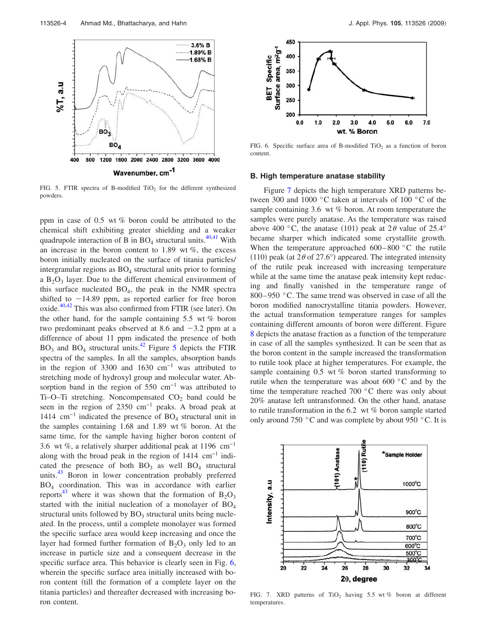

FIG. 5. FTIR spectra of B-modified  $TiO<sub>2</sub>$  for the different synthesized powders.

ppm in case of 0.5 wt *%* boron could be attributed to the chemical shift exhibiting greater shielding and a weaker quadrupole interaction of B in  $BO_4$  structural units.<sup>40,41</sup> With an increase in the boron content to 1.89 wt *%*, the excess boron initially nucleated on the surface of titania particles/ intergranular regions as  $BO<sub>4</sub>$  structural units prior to forming a  $B_2O_3$  layer. Due to the different chemical environment of this surface nucleated  $BO_4$ , the peak in the NMR spectra shifted to  $-14.89$  ppm, as reported earlier for free boron oxide. $40,42$  This was also confirmed from FTIR (see later). On the other hand, for the sample containing 5.5 wt *%* boron two predominant peaks observed at 8.6 and  $-3.2$  ppm at a difference of about 11 ppm indicated the presence of both  $BO<sub>3</sub>$  and  $BO<sub>4</sub>$  structural units.<sup>42</sup> Figure 5 depicts the FTIR spectra of the samples. In all the samples, absorption bands in the region of 3300 and 1630  $cm^{-1}$  was attributed to stretching mode of hydroxyl group and molecular water. Absorption band in the region of 550  $cm^{-1}$  was attributed to Ti–O–Ti stretching. Noncompensated  $CO<sub>2</sub>$  band could be seen in the region of 2350 cm<sup>-1</sup> peaks. A broad peak at 1414  $\text{cm}^{-1}$  indicated the presence of BO<sub>4</sub> structural unit in the samples containing 1.68 and 1.89 wt *%* boron. At the same time, for the sample having higher boron content of 3.6 wt *%*, a relatively sharper additional peak at 1196 cm−1 along with the broad peak in the region of 1414 cm−1 indicated the presence of both  $BO_3$  as well  $BO_4$  structural units.<sup>43</sup> Boron in lower concentration probably preferred BO<sup>4</sup> coordination. This was in accordance with earlier reports<sup>43</sup> where it was shown that the formation of  $B_2O_3$ started with the initial nucleation of a monolayer of  $BO<sub>4</sub>$ structural units followed by  $BO<sub>3</sub>$  structural units being nucleated. In the process, until a complete monolayer was formed the specific surface area would keep increasing and once the layer had formed further formation of  $B_2O_3$  only led to an increase in particle size and a consequent decrease in the specific surface area. This behavior is clearly seen in Fig. 6, wherein the specific surface area initially increased with boron content (till the formation of a complete layer on the titania particles) and thereafter decreased with increasing boron content.



FIG. 6. Specific surface area of B-modified  $TiO<sub>2</sub>$  as a function of boron content.

#### **B. High temperature anatase stability**

Figure 7 depicts the high temperature XRD patterns between 300 and 1000 °C taken at intervals of 100 °C of the sample containing 3.6 wt *%* boron. At room temperature the samples were purely anatase. As the temperature was raised above 400 °C, the anatase (101) peak at  $2\theta$  value of  $25.4^{\circ}$ became sharper which indicated some crystallite growth. When the temperature approached 600–800 °C the rutile (110) peak (at  $2\theta$  of  $27.6^{\circ}$ ) appeared. The integrated intensity of the rutile peak increased with increasing temperature while at the same time the anatase peak intensity kept reducing and finally vanished in the temperature range of 800–950 °C. The same trend was observed in case of all the boron modified nanocrystalline titania powders. However, the actual transformation temperature ranges for samples containing different amounts of boron were different. Figure 8 depicts the anatase fraction as a function of the temperature in case of all the samples synthesized. It can be seen that as the boron content in the sample increased the transformation to rutile took place at higher temperatures. For example, the sample containing 0.5 wt *%* boron started transforming to rutile when the temperature was about 600 °C and by the time the temperature reached 700 °C there was only about 20% anatase left untransformed. On the other hand, anatase to rutile transformation in the 6.2 wt *%* boron sample started only around 750 °C and was complete by about 950 °C. It is



FIG. 7. XRD patterns of TiO<sub>2</sub> having 5.5 wt % boron at different temperatures.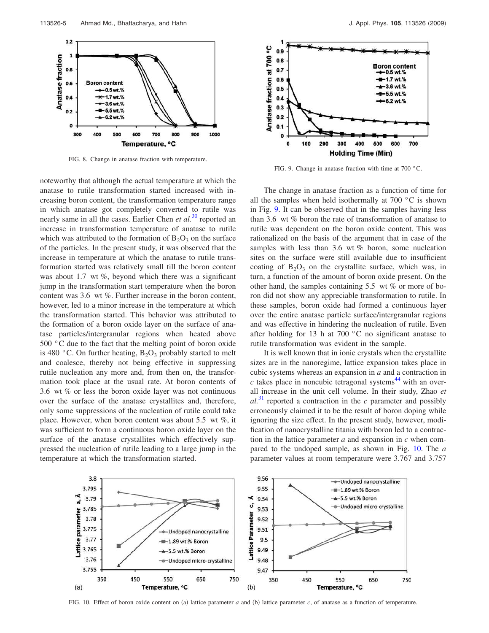

FIG. 8. Change in anatase fraction with temperature.

noteworthy that although the actual temperature at which the anatase to rutile transformation started increased with increasing boron content, the transformation temperature range in which anatase got completely converted to rutile was nearly same in all the cases. Earlier Chen *et al.*<sup>30</sup> reported an increase in transformation temperature of anatase to rutile which was attributed to the formation of  $B_2O_3$  on the surface of the particles. In the present study, it was observed that the increase in temperature at which the anatase to rutile transformation started was relatively small till the boron content was about 1.7 wt *%*, beyond which there was a significant jump in the transformation start temperature when the boron content was 3.6 wt *%*. Further increase in the boron content, however, led to a minor increase in the temperature at which the transformation started. This behavior was attributed to the formation of a boron oxide layer on the surface of anatase particles/intergranular regions when heated above 500 °C due to the fact that the melting point of boron oxide is 480 °C. On further heating,  $B_2O_3$  probably started to melt and coalesce, thereby not being effective in suppressing rutile nucleation any more and, from then on, the transformation took place at the usual rate. At boron contents of 3.6 wt *%* or less the boron oxide layer was not continuous over the surface of the anatase crystallites and, therefore, only some suppressions of the nucleation of rutile could take place. However, when boron content was about 5.5 wt *%*, it was sufficient to form a continuous boron oxide layer on the surface of the anatase crystallites which effectively suppressed the nucleation of rutile leading to a large jump in the temperature at which the transformation started.



FIG. 9. Change in anatase fraction with time at 700 °C.

The change in anatase fraction as a function of time for all the samples when held isothermally at  $700\degree\text{C}$  is shown in Fig. 9. It can be observed that in the samples having less than 3.6 wt *%* boron the rate of transformation of anatase to rutile was dependent on the boron oxide content. This was rationalized on the basis of the argument that in case of the samples with less than 3.6 wt *%* boron, some nucleation sites on the surface were still available due to insufficient coating of  $B_2O_3$  on the crystallite surface, which was, in turn, a function of the amount of boron oxide present. On the other hand, the samples containing 5.5 wt *%* or more of boron did not show any appreciable transformation to rutile. In these samples, boron oxide had formed a continuous layer over the entire anatase particle surface/intergranular regions and was effective in hindering the nucleation of rutile. Even after holding for 13 h at 700 °C no significant anatase to rutile transformation was evident in the sample.

It is well known that in ionic crystals when the crystallite sizes are in the nanoregime, lattice expansion takes place in cubic systems whereas an expansion in *a* and a contraction in  $c$  takes place in noncubic tetragonal systems<sup>44</sup> with an overall increase in the unit cell volume. In their study, Zhao *et*  $al^{31}$  reported a contraction in the *c* parameter and possibly erroneously claimed it to be the result of boron doping while ignoring the size effect. In the present study, however, modification of nanocrystalline titania with boron led to a contraction in the lattice parameter *a* and expansion in *c* when compared to the undoped sample, as shown in Fig. 10. The *a* parameter values at room temperature were 3.767 and 3.757



FIG. 10. Effect of boron oxide content on (a) lattice parameter  $a$  and (b) lattice parameter  $c$ , of anatase as a function of temperature.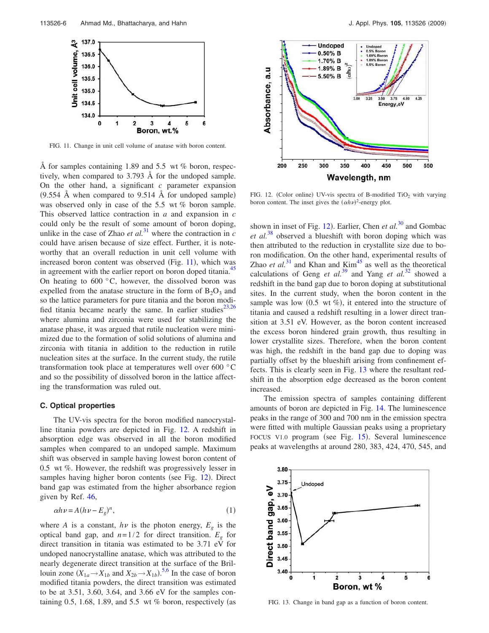

FIG. 11. Change in unit cell volume of anatase with boron content.

Å for samples containing 1.89 and 5.5 wt *%* boron, respectively, when compared to 3.793 Å for the undoped sample. On the other hand, a significant *c* parameter expansion  $(9.554 \text{ Å}$  when compared to  $9.514 \text{ Å}$  for undoped sample) was observed only in case of the 5.5 wt *%* boron sample. This observed lattice contraction in *a* and expansion in *c* could only be the result of some amount of boron doping, unlike in the case of Zhao *et al.*<sup>31</sup> where the contraction in  $c$ could have arisen because of size effect. Further, it is noteworthy that an overall reduction in unit cell volume with increased boron content was observed (Fig. 11), which was in agreement with the earlier report on boron doped titania.<sup>45</sup> On heating to  $600\,^{\circ}\text{C}$ , however, the dissolved boron was expelled from the anatase structure in the form of  $B_2O_3$  and so the lattice parameters for pure titania and the boron modified titania became nearly the same. In earlier studies<sup>23,26</sup> where alumina and zirconia were used for stabilizing the anatase phase, it was argued that rutile nucleation were minimized due to the formation of solid solutions of alumina and zirconia with titania in addition to the reduction in rutile nucleation sites at the surface. In the current study, the rutile transformation took place at temperatures well over 600 °C and so the possibility of dissolved boron in the lattice affecting the transformation was ruled out.

#### **C. Optical properties**

The UV-vis spectra for the boron modified nanocrystalline titania powders are depicted in Fig. 12. A redshift in absorption edge was observed in all the boron modified samples when compared to an undoped sample. Maximum shift was observed in sample having lowest boron content of 0.5 wt *%*. However, the redshift was progressively lesser in samples having higher boron contents (see Fig. 12). Direct band gap was estimated from the higher absorbance region given by Ref. 46,

$$
\alpha h \nu = A(h \nu - E_g)^n,\tag{1}
$$

where *A* is a constant,  $h\nu$  is the photon energy,  $E_g$  is the optical band gap, and  $n=1/2$  for direct transition.  $E_g$  for direct transition in titania was estimated to be 3.71 eV for undoped nanocrystalline anatase, which was attributed to the nearly degenerate direct transition at the surface of the Brillouin zone  $(X_{1a} \rightarrow X_{1b}$  and  $X_{2b} \rightarrow X_{1b}$ ).<sup>5,6</sup> In the case of boron modified titania powders, the direct transition was estimated to be at 3.51, 3.60, 3.64, and 3.66 eV for the samples containing 0.5, 1.68, 1.89, and 5.5 wt % boron, respectively (as



FIG. 12. (Color online) UV-vis spectra of B-modified  $TiO<sub>2</sub>$  with varying boron content. The inset gives the  $(\alpha h \nu)^2$ -energy plot.

shown in inset of Fig. 12). Earlier, Chen *et al.*<sup>30</sup> and Gombac *et al.*<sup>38</sup> observed a blueshift with boron doping which was then attributed to the reduction in crystallite size due to boron modification. On the other hand, experimental results of Zhao *et al.*<sup>31</sup> and Khan and Kim<sup>45</sup> as well as the theoretical calculations of Geng *et al.*<sup>39</sup> and Yang *et al.*<sup>32</sup> showed a redshift in the band gap due to boron doping at substitutional sites. In the current study, when the boron content in the sample was low (0.5 wt %), it entered into the structure of titania and caused a redshift resulting in a lower direct transition at 3.51 eV. However, as the boron content increased the excess boron hindered grain growth, thus resulting in lower crystallite sizes. Therefore, when the boron content was high, the redshift in the band gap due to doping was partially offset by the blueshift arising from confinement effects. This is clearly seen in Fig. 13 where the resultant redshift in the absorption edge decreased as the boron content increased.

The emission spectra of samples containing different amounts of boron are depicted in Fig. 14. The luminescence peaks in the range of 300 and 700 nm in the emission spectra were fitted with multiple Gaussian peaks using a proprietary FOCUS V1.0 program (see Fig. 15). Several luminescence peaks at wavelengths at around 280, 383, 424, 470, 545, and



FIG. 13. Change in band gap as a function of boron content.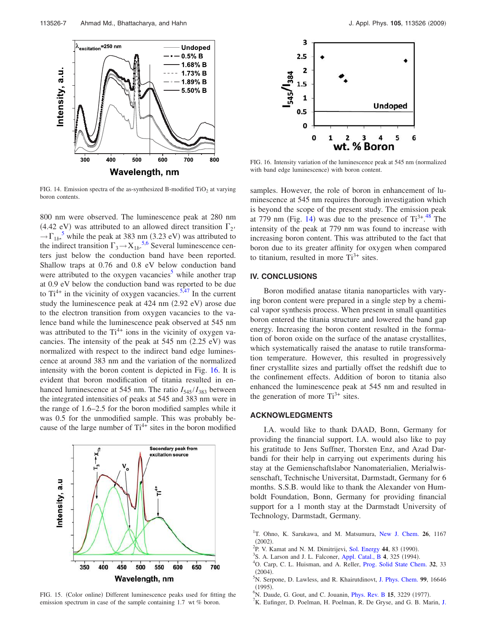

FIG. 14. Emission spectra of the as-synthesized B-modified  $TiO<sub>2</sub>$  at varying boron contents.

800 nm were observed. The luminescence peak at 280 nm (4.42 eV) was attributed to an allowed direct transition  $\Gamma_{2'}$  $\rightarrow \Gamma_{1b}^5$ , while the peak at 383 nm (3.23 eV) was attributed to the indirect transition  $\Gamma_3 \rightarrow X_{1b}$ <sup>5,6</sup> Several luminescence centers just below the conduction band have been reported. Shallow traps at 0.76 and 0.8 eV below conduction band were attributed to the oxygen vacancies<sup>3</sup> while another trap at 0.9 eV below the conduction band was reported to be due to  $Ti^{4+}$  in the vicinity of oxygen vacancies.<sup>5,47</sup> In the current study the luminescence peak at 424 nm (2.92 eV) arose due to the electron transition from oxygen vacancies to the valence band while the luminescence peak observed at 545 nm was attributed to the  $Ti^{4+}$  ions in the vicinity of oxygen vacancies. The intensity of the peak at  $545$  nm  $(2.25$  eV) was normalized with respect to the indirect band edge luminescence at around 383 nm and the variation of the normalized intensity with the boron content is depicted in Fig. 16. It is evident that boron modification of titania resulted in enhanced luminescence at 545 nm. The ratio  $I_{545}/I_{383}$  between the integrated intensities of peaks at 545 and 383 nm were in the range of 1.6–2.5 for the boron modified samples while it was 0.5 for the unmodified sample. This was probably because of the large number of  $Ti^{4+}$  sites in the boron modified



FIG. 15. (Color online) Different luminescence peaks used for fitting the emission spectrum in case of the sample containing 1.7 wt *%* boron.



FIG. 16. Intensity variation of the luminescence peak at 545 nm (normalized with band edge luminescence) with boron content.

samples. However, the role of boron in enhancement of luminescence at 545 nm requires thorough investigation which is beyond the scope of the present study. The emission peak at 779 nm (Fig. 14) was due to the presence of  $Ti^{3+}$ .<sup>48</sup> The intensity of the peak at 779 nm was found to increase with increasing boron content. This was attributed to the fact that boron due to its greater affinity for oxygen when compared to titanium, resulted in more  $Ti^{3+}$  sites.

## **IV. CONCLUSIONS**

Boron modified anatase titania nanoparticles with varying boron content were prepared in a single step by a chemical vapor synthesis process. When present in small quantities boron entered the titania structure and lowered the band gap energy. Increasing the boron content resulted in the formation of boron oxide on the surface of the anatase crystallites, which systematically raised the anatase to rutile transformation temperature. However, this resulted in progressively finer crystallite sizes and partially offset the redshift due to the confinement effects. Addition of boron to titania also enhanced the luminescence peak at 545 nm and resulted in the generation of more  $Ti^{3+}$  sites.

#### **ACKNOWLEDGMENTS**

I.A. would like to thank DAAD, Bonn, Germany for providing the financial support. I.A. would also like to pay his gratitude to Jens Suffner, Thorsten Enz, and Azad Darbandi for their help in carrying out experiments during his stay at the Gemienschaftslabor Nanomaterialien, Merialwissenschaft, Technische Universitat, Darmstadt, Germany for 6 months. S.S.B. would like to thank the Alexander von Humboldt Foundation, Bonn, Germany for providing financial support for a 1 month stay at the Darmstadt University of Technology, Darmstadt, Germany.

- <sup>1</sup>T. Ohno, K. Sarukawa, and M. Matsumura, New J. Chem. 26, 1167  $(2002).$
- <sup>2</sup>P. V. Kamat and N. M. Dimitrijevi, Sol. Energy 44, 83 (1990).
- <sup>3</sup>S. A. Larson and J. L. Falconer, Appl. Catal., B 4, 325 (1994).
- <sup>4</sup>O. Carp, C. L. Huisman, and A. Reller, Prog. Solid State Chem. **32**, 33  $(2004).$
- <sup>5</sup>N. Serpone, D. Lawless, and R. Khairutdinovt, J. Phys. Chem. **99**, 16646  $(1995).$
- <sup>6</sup>N. Daude, G. Gout, and C. Jouanin, *Phys. Rev. B* 15, 3229 (1977).
- ${}^{7}$ K. Eufinger, D. Poelman, H. Poelman, R. De Gryse, and G. B. Marin, J.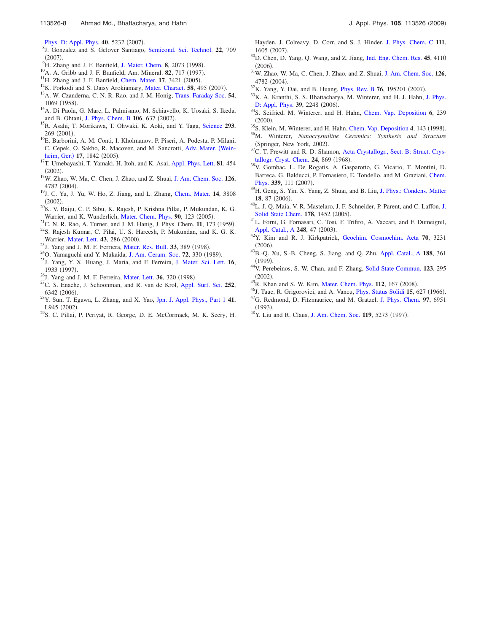- 8 J. Gonzalez and S. Gelover Santiago, Semicond. Sci. Technol. **22**, 709  $(2007).$
- <sup>9</sup>H. Zhang and J. F. Banfield, J. Mater. Chem. 8, 2073 (1998).
- <sup>10</sup>A. A. Gribb and J. F. Banfield, Am. Mineral. **82**, 717 (1997).
- $11$ <sup>H</sup>. Zhang and J. F. Banfield, Chem. Mater. 17, 3421 (2005).
- <sup>12</sup>K. Porkodi and S. Daisy Arokiamary, Mater. Charact. 58, 495 (2007).
- <sup>13</sup>A. W. Czanderna, C. N. R. Rao, and J. M. Honig, Trans. Faraday Soc. **54**, 1069 (1958).
- <sup>14</sup>A. Di Paola, G. Marc, L. Palmisano, M. Schiavello, K. Uosaki, S. Ikeda, and B. Ohtani, J. Phys. Chem. B 106, 637 (2002).
- <sup>15</sup>R. Asahi, T. Morikawa, T. Ohwaki, K. Aoki, and Y. Taga, Science **293**, 269 (2001).
- <sup>16</sup>E. Barborini, A. M. Conti, I. Kholmanov, P. Piseri, A. Podesta, P. Milani, C. Cepek, O. Sakho, R. Macovez, and M. Sancrotti, Adv. Mater. Wein-
- heim, Ger.) 17, 1842 (2005). <sup>17</sup>T. Umebayashi, T. Yamaki, H. Itoh, and K. Asai, Appl. Phys. Lett. **81**, 454  $(2002).$
- <sup>18</sup>W. Zhao, W. Ma, C. Chen, J. Zhao, and Z. Shuai, J. Am. Chem. Soc. **126**, 4782 (2004).
- <sup>19</sup>J. C. Yu, J. Yu, W. Ho, Z. Jiang, and L. Zhang, Chem. Mater. **14**, 3808  $(2002).$
- $^{20}$ K. V. Baiju, C. P. Sibu, K. Rajesh, P. Krishna Pillai, P. Mukundan, K. G. Warrier, and K. Wunderlich, Mater. Chem. Phys. 90, 123 (2005).
- $^{21}$ C. N. R. Rao, A. Turner, and J. M. Hanig, J. Phys. Chem. 11, 173 (1959).
- <sup>22</sup>S. Rajesh Kumar, C. Pilai, U. S. Hareesh, P. Mukundan, and K. G. K. Warrier, Mater. Lett. 43, 286 (2000).
- <sup>23</sup>J. Yang and J. M. F. Ferriera, Mater. Res. Bull. 33, 389 (1998).
- <sup>24</sup>O. Yamaguchi and Y. Mukaida, J. Am. Ceram. Soc. **72**, 330 (1989).
- <sup>25</sup>J. Yang, Y. X. Huang, J. Maria, and F. Ferreira, J. Mater. Sci. Lett. **16**, 1933 (1997).
- <sup>26</sup>J. Yang and J. M. F. Ferreira, Mater. Lett. 36, 320 (1998).
- <sup>27</sup>C. S. Enache, J. Schoonman, and R. van de Krol, Appl. Surf. Sci. **252**, 6342 (2006).
- <sup>28</sup>Y. Sun, T. Egawa, L. Zhang, and X. Yao, Jpn. J. Appl. Phys., Part 1 **41**, L945 (2002).
- <sup>29</sup>S. C. Pillai, P. Periyat, R. George, D. E. McCormack, M. K. Seery, H.

Hayden, J. Colreavy, D. Corr, and S. J. Hinder, J. Phys. Chem. C **111**, 1605 (2007).

- <sup>30</sup>D. Chen, D. Yang, Q. Wang, and Z. Jiang, Ind. Eng. Chem. Res. **45**, 4110  $(2006).$
- <sup>31</sup>W. Zhao, W. Ma, C. Chen, J. Zhao, and Z. Shuai, J. Am. Chem. Soc. **126**, 4782 (2004).
- <sup>32</sup>K. Yang, Y. Dai, and B. Huang, *Phys. Rev. B* **76**, 195201 (2007).
- <sup>33</sup>K. A. Kranthi, S. S. Bhattacharya, M. Winterer, and H. J. Hahn, J. Phys. D: Appl. Phys. 39, 2248 (2006).
- <sup>34</sup>S. Seifried, M. Winterer, and H. Hahn, Chem. Vap. Deposition **6**, 239  $(2000).$
- <sup>35</sup>S. Klein, M. Winterer, and H. Hahn, Chem. Vap. Deposition **4**, 143 (1998).
- <sup>36</sup>M. Winterer, *Nanocrystalline Ceramics: Synthesis and Structure* (Springer, New York, 2002).
- $37C$ . T. Prewitt and R. D. Shamon, Acta Crystallogr., Sect. B: Struct. Crystallogr. Cryst. Chem. 24, 869 (1968).
- <sup>38</sup>V. Gombac, L. De Rogatis, A. Gasparotto, G. Vicario, T. Montini, D. Barreca, G. Balducci, P. Fornasiero, E. Tondello, and M. Graziani, Chem. Phys. 339, 111 (2007).
- <sup>39</sup>H. Geng, S. Yin, X. Yang, Z. Shuai, and B. Liu, J. Phys.: Condens. Matter 18, 87 (2006).
- <sup>40</sup>L. J. Q. Maia, V. R. Mastelaro, J. F. Schneider, P. Parent, and C. Laffon, J. Solid State Chem. 178, 1452 (2005).
- <sup>41</sup>L. Forni, G. Fornasari, C. Tosi, F. Trifiro, A. Vaccari, and F. Dumeignil, Appl. Catal., A 248, 47 (2003).
- <sup>42</sup>Y. Kim and R. J. Kirkpatrick, Geochim. Cosmochim. Acta **70**, 3231  $(2006).$
- <sup>43</sup>B.-Q. Xu, S.-B. Cheng, S. Jiang, and Q. Zhu, Appl. Catal., A **188**, 361  $(1999).$
- <sup>44</sup>V. Perebeinos, S.-W. Chan, and F. Zhang, Solid State Commun. **123**, 295  $(2002).$
- <sup>45</sup>R. Khan and S. W. Kim, Mater. Chem. Phys. 112, 167 (2008).
- <sup>46</sup>J. Tauc, R. Grigorovici, and A. Vancu, *Phys. Status Solidi* 15, 627 (1966).
- <sup>47</sup>G. Redmond, D. Fitzmaurice, and M. Gratzel, J. Phys. Chem. **97**, 6951  $(1993).$
- <sup>48</sup>Y. Liu and R. Claus, J. Am. Chem. Soc. 119, 5273 (1997).